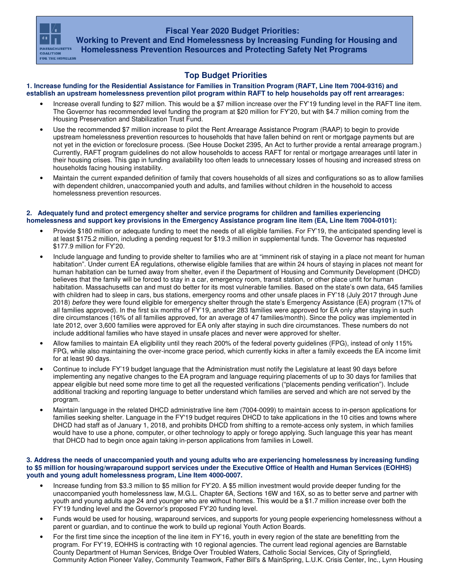**Fiscal Year 2020 Budget Priorities:** 



 **Working to Prevent and End Homelessness by Increasing Funding for Housing and Homelessness Prevention Resources and Protecting Safety Net Programs** 

# **Top Budget Priorities**

#### **1. Increase funding for the Residential Assistance for Families in Transition Program (RAFT, Line Item 7004-9316) and establish an upstream homelessness prevention pilot program within RAFT to help households pay off rent arrearages:**

- Increase overall funding to \$27 million. This would be a \$7 million increase over the FY'19 funding level in the RAFT line item. The Governor has recommended level funding the program at \$20 million for FY'20, but with \$4.7 million coming from the Housing Preservation and Stabilization Trust Fund.
- Use the recommended \$7 million increase to pilot the Rent Arrearage Assistance Program (RAAP) to begin to provide upstream homelessness prevention resources to households that have fallen behind on rent or mortgage payments but are not yet in the eviction or foreclosure process. (See House Docket 2395, An Act to further provide a rental arrearage program.) Currently, RAFT program guidelines do not allow households to access RAFT for rental or mortgage arrearages until later in their housing crises. This gap in funding availability too often leads to unnecessary losses of housing and increased stress on households facing housing instability.
- Maintain the current expanded definition of family that covers households of all sizes and configurations so as to allow families with dependent children, unaccompanied youth and adults, and families without children in the household to access homelessness prevention resources.

## **2. Adequately fund and protect emergency shelter and service programs for children and families experiencing homelessness and support key provisions in the Emergency Assistance program line item (EA, Line Item 7004-0101):**

- Provide \$180 million or adequate funding to meet the needs of all eligible families. For FY'19, the anticipated spending level is at least \$175.2 million, including a pending request for \$19.3 million in supplemental funds. The Governor has requested \$177.9 million for FY'20.
- Include language and funding to provide shelter to families who are at "imminent risk of staying in a place not meant for human habitation". Under current EA regulations, otherwise eligible families that are within 24 hours of staying in places not meant for human habitation can be turned away from shelter, even if the Department of Housing and Community Development (DHCD) believes that the family will be forced to stay in a car, emergency room, transit station, or other place unfit for human habitation. Massachusetts can and must do better for its most vulnerable families. Based on the state's own data, 645 families with children had to sleep in cars, bus stations, emergency rooms and other unsafe places in FY'18 (July 2017 through June 2018) before they were found eligible for emergency shelter through the state's Emergency Assistance (EA) program (17% of all families approved). In the first six months of FY'19, another 283 families were approved for EA only after staying in such dire circumstances (16% of all families approved, for an average of 47 families/month). Since the policy was implemented in late 2012, over 3,600 families were approved for EA only after staying in such dire circumstances. These numbers do not include additional families who have stayed in unsafe places and never were approved for shelter.
- Allow families to maintain EA eligibility until they reach 200% of the federal poverty guidelines (FPG), instead of only 115% FPG, while also maintaining the over-income grace period, which currently kicks in after a family exceeds the EA income limit for at least 90 days.
- Continue to include FY'19 budget language that the Administration must notify the Legislature at least 90 days before implementing any negative changes to the EA program and language requiring placements of up to 30 days for families that appear eligible but need some more time to get all the requested verifications ("placements pending verification"). Include additional tracking and reporting language to better understand which families are served and which are not served by the program.
- Maintain language in the related DHCD administrative line item (7004-0099) to maintain access to in-person applications for families seeking shelter. Language in the FY'19 budget requires DHCD to take applications in the 10 cities and towns where DHCD had staff as of January 1, 2018, and prohibits DHCD from shifting to a remote-access only system, in which families would have to use a phone, computer, or other technology to apply or forego applying. Such language this year has meant that DHCD had to begin once again taking in-person applications from families in Lowell.

#### **3. Address the needs of unaccompanied youth and young adults who are experiencing homelessness by increasing funding to \$5 million for housing/wraparound support services under the Executive Office of Health and Human Services (EOHHS) youth and young adult homelessness program, Line Item 4000-0007.**

- Increase funding from \$3.3 million to \$5 million for FY'20. A \$5 million investment would provide deeper funding for the unaccompanied youth homelessness law, M.G.L. Chapter 6A, Sections 16W and 16X, so as to better serve and partner with youth and young adults age 24 and younger who are without homes. This would be a \$1.7 million increase over both the FY'19 funding level and the Governor's proposed FY'20 funding level.
- Funds would be used for housing, wraparound services, and supports for young people experiencing homelessness without a parent or guardian, and to continue the work to build up regional Youth Action Boards.
- For the first time since the inception of the line item in FY'16, youth in every region of the state are benefitting from the program. For FY'19, EOHHS is contracting with 10 regional agencies. The current lead regional agencies are Barnstable County Department of Human Services, Bridge Over Troubled Waters, Catholic Social Services, City of Springfield, Community Action Pioneer Valley, Community Teamwork, Father Bill's & MainSpring, L.U.K. Crisis Center, Inc., Lynn Housing